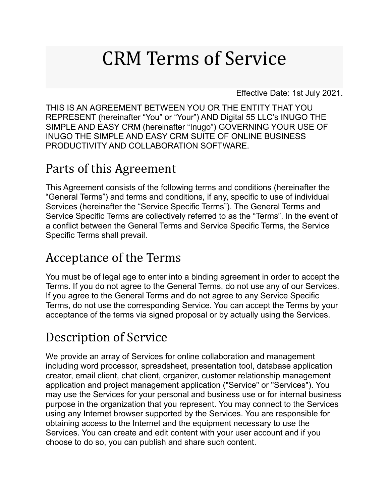# CRM Terms of Service

Effective Date: 1st July 2021.

THIS IS AN AGREEMENT BETWEEN YOU OR THE ENTITY THAT YOU REPRESENT (hereinafter "You" or "Your") AND Digital 55 LLC's INUGO THE SIMPLE AND EASY CRM (hereinafter "Inugo") GOVERNING YOUR USE OF INUGO THE SIMPLE AND EASY CRM SUITE OF ONLINE BUSINESS PRODUCTIVITY AND COLLABORATION SOFTWARE.

#### Parts of this Agreement

This Agreement consists of the following terms and conditions (hereinafter the "General Terms") and terms and conditions, if any, specific to use of individual Services (hereinafter the "Service Specific Terms"). The General Terms and Service Specific Terms are collectively referred to as the "Terms". In the event of a conflict between the General Terms and Service Specific Terms, the Service Specific Terms shall prevail.

#### Acceptance of the Terms

You must be of legal age to enter into a binding agreement in order to accept the Terms. If you do not agree to the General Terms, do not use any of our Services. If you agree to the General Terms and do not agree to any Service Specific Terms, do not use the corresponding Service. You can accept the Terms by your acceptance of the terms via signed proposal or by actually using the Services.

#### Description of Service

We provide an array of Services for online collaboration and management including word processor, spreadsheet, presentation tool, database application creator, email client, chat client, organizer, customer relationship management application and project management application ("Service" or "Services"). You may use the Services for your personal and business use or for internal business purpose in the organization that you represent. You may connect to the Services using any Internet browser supported by the Services. You are responsible for obtaining access to the Internet and the equipment necessary to use the Services. You can create and edit content with your user account and if you choose to do so, you can publish and share such content.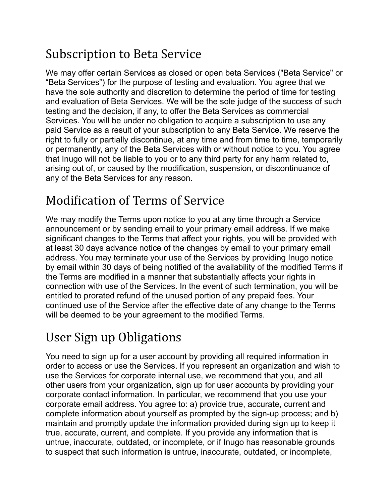#### Subscription to Beta Service

We may offer certain Services as closed or open beta Services ("Beta Service" or "Beta Services") for the purpose of testing and evaluation. You agree that we have the sole authority and discretion to determine the period of time for testing and evaluation of Beta Services. We will be the sole judge of the success of such testing and the decision, if any, to offer the Beta Services as commercial Services. You will be under no obligation to acquire a subscription to use any paid Service as a result of your subscription to any Beta Service. We reserve the right to fully or partially discontinue, at any time and from time to time, temporarily or permanently, any of the Beta Services with or without notice to you. You agree that Inugo will not be liable to you or to any third party for any harm related to, arising out of, or caused by the modification, suspension, or discontinuance of any of the Beta Services for any reason.

#### Modification of Terms of Service

We may modify the Terms upon notice to you at any time through a Service announcement or by sending email to your primary email address. If we make significant changes to the Terms that affect your rights, you will be provided with at least 30 days advance notice of the changes by email to your primary email address. You may terminate your use of the Services by providing Inugo notice by email within 30 days of being notified of the availability of the modified Terms if the Terms are modified in a manner that substantially affects your rights in connection with use of the Services. In the event of such termination, you will be entitled to prorated refund of the unused portion of any prepaid fees. Your continued use of the Service after the effective date of any change to the Terms will be deemed to be your agreement to the modified Terms.

## User Sign up Obligations

You need to sign up for a user account by providing all required information in order to access or use the Services. If you represent an organization and wish to use the Services for corporate internal use, we recommend that you, and all other users from your organization, sign up for user accounts by providing your corporate contact information. In particular, we recommend that you use your corporate email address. You agree to: a) provide true, accurate, current and complete information about yourself as prompted by the sign-up process; and b) maintain and promptly update the information provided during sign up to keep it true, accurate, current, and complete. If you provide any information that is untrue, inaccurate, outdated, or incomplete, or if Inugo has reasonable grounds to suspect that such information is untrue, inaccurate, outdated, or incomplete,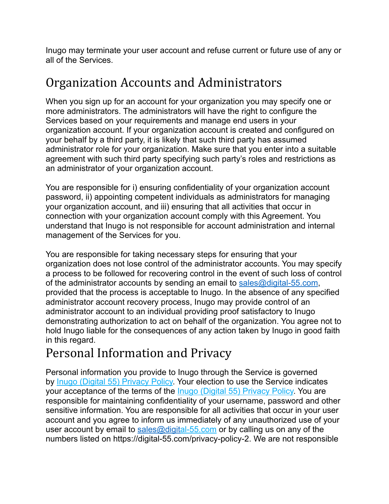Inugo may terminate your user account and refuse current or future use of any or all of the Services.

#### Organization Accounts and Administrators

When you sign up for an account for your organization you may specify one or more administrators. The administrators will have the right to configure the Services based on your requirements and manage end users in your organization account. If your organization account is created and configured on your behalf by a third party, it is likely that such third party has assumed administrator role for your organization. Make sure that you enter into a suitable agreement with such third party specifying such party's roles and restrictions as an administrator of your organization account.

You are responsible for i) ensuring confidentiality of your organization account password, ii) appointing competent individuals as administrators for managing your organization account, and iii) ensuring that all activities that occur in connection with your organization account comply with this Agreement. You understand that Inugo is not responsible for account administration and internal management of the Services for you.

You are responsible for taking necessary steps for ensuring that your organization does not lose control of the administrator accounts. You may specify a process to be followed for recovering control in the event of such loss of control of the administrator accounts by sending an email to [sales@digital-55.com,](mailto:sales@digital-55.com) provided that the process is acceptable to Inugo. In the absence of any specified administrator account recovery process, Inugo may provide control of an administrator account to an individual providing proof satisfactory to Inugo demonstrating authorization to act on behalf of the organization. You agree not to hold Inugo liable for the consequences of any action taken by Inugo in good faith in this regard.

# Personal Information and Privacy

Personal information you provide to Inugo through the Service is governed by [Inugo \(Digital 55\) Privacy Policy.](https://digital-55.com/privacy-policy-2) Your election to use the Service indicates your acceptance of the terms of the *Inugo (Digital 55) Privacy Policy*. You are responsible for maintaining confidentiality of your username, password and other sensitive information. You are responsible for all activities that occur in your user account and you agree to inform us immediately of any unauthorized use of your user account by email to  $sales@digital-55.com$  $sales@digital-55.com$  or by calling us on any of the numbers listed on https://digital-55.com/privacy-policy-2. We are not responsible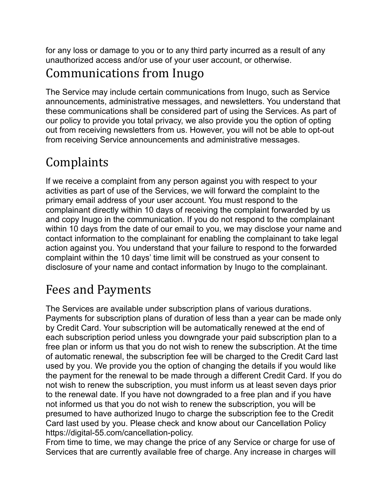for any loss or damage to you or to any third party incurred as a result of any unauthorized access and/or use of your user account, or otherwise.

## Communications from Inugo

The Service may include certain communications from Inugo, such as Service announcements, administrative messages, and newsletters. You understand that these communications shall be considered part of using the Services. As part of our policy to provide you total privacy, we also provide you the option of opting out from receiving newsletters from us. However, you will not be able to opt-out from receiving Service announcements and administrative messages.

# Complaints

If we receive a complaint from any person against you with respect to your activities as part of use of the Services, we will forward the complaint to the primary email address of your user account. You must respond to the complainant directly within 10 days of receiving the complaint forwarded by us and copy Inugo in the communication. If you do not respond to the complainant within 10 days from the date of our email to you, we may disclose your name and contact information to the complainant for enabling the complainant to take legal action against you. You understand that your failure to respond to the forwarded complaint within the 10 days' time limit will be construed as your consent to disclosure of your name and contact information by Inugo to the complainant.

#### Fees and Payments

The Services are available under subscription plans of various durations. Payments for subscription plans of duration of less than a year can be made only by Credit Card. Your subscription will be automatically renewed at the end of each subscription period unless you downgrade your paid subscription plan to a free plan or inform us that you do not wish to renew the subscription. At the time of automatic renewal, the subscription fee will be charged to the Credit Card last used by you. We provide you the option of changing the details if you would like the payment for the renewal to be made through a different Credit Card. If you do not wish to renew the subscription, you must inform us at least seven days prior to the renewal date. If you have not downgraded to a free plan and if you have not informed us that you do not wish to renew the subscription, you will be presumed to have authorized Inugo to charge the subscription fee to the Credit Card last used by you. Please check and know about our Cancellation Policy https://digital-55.com/cancellation-policy.

From time to time, we may change the price of any Service or charge for use of Services that are currently available free of charge. Any increase in charges will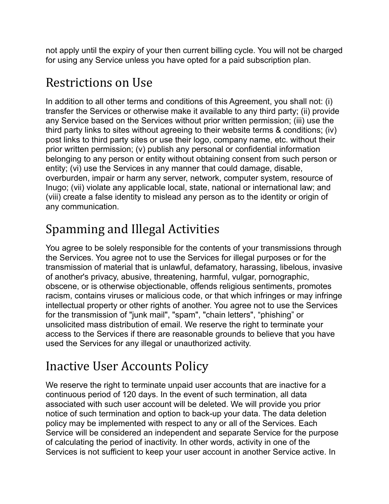not apply until the expiry of your then current billing cycle. You will not be charged for using any Service unless you have opted for a paid subscription plan.

#### Restrictions on Use

In addition to all other terms and conditions of this Agreement, you shall not: (i) transfer the Services or otherwise make it available to any third party; (ii) provide any Service based on the Services without prior written permission; (iii) use the third party links to sites without agreeing to their website terms & conditions; (iv) post links to third party sites or use their logo, company name, etc. without their prior written permission; (v) publish any personal or confidential information belonging to any person or entity without obtaining consent from such person or entity; (vi) use the Services in any manner that could damage, disable, overburden, impair or harm any server, network, computer system, resource of Inugo; (vii) violate any applicable local, state, national or international law; and (viii) create a false identity to mislead any person as to the identity or origin of any communication.

#### Spamming and Illegal Activities

You agree to be solely responsible for the contents of your transmissions through the Services. You agree not to use the Services for illegal purposes or for the transmission of material that is unlawful, defamatory, harassing, libelous, invasive of another's privacy, abusive, threatening, harmful, vulgar, pornographic, obscene, or is otherwise objectionable, offends religious sentiments, promotes racism, contains viruses or malicious code, or that which infringes or may infringe intellectual property or other rights of another. You agree not to use the Services for the transmission of "junk mail", "spam", "chain letters", "phishing" or unsolicited mass distribution of email. We reserve the right to terminate your access to the Services if there are reasonable grounds to believe that you have used the Services for any illegal or unauthorized activity.

#### Inactive User Accounts Policy

We reserve the right to terminate unpaid user accounts that are inactive for a continuous period of 120 days. In the event of such termination, all data associated with such user account will be deleted. We will provide you prior notice of such termination and option to back-up your data. The data deletion policy may be implemented with respect to any or all of the Services. Each Service will be considered an independent and separate Service for the purpose of calculating the period of inactivity. In other words, activity in one of the Services is not sufficient to keep your user account in another Service active. In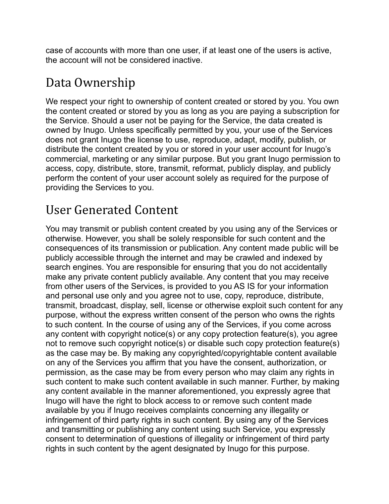case of accounts with more than one user, if at least one of the users is active, the account will not be considered inactive.

#### Data Ownership

We respect your right to ownership of content created or stored by you. You own the content created or stored by you as long as you are paying a subscription for the Service. Should a user not be paying for the Service, the data created is owned by Inugo. Unless specifically permitted by you, your use of the Services does not grant Inugo the license to use, reproduce, adapt, modify, publish, or distribute the content created by you or stored in your user account for Inugo's commercial, marketing or any similar purpose. But you grant Inugo permission to access, copy, distribute, store, transmit, reformat, publicly display, and publicly perform the content of your user account solely as required for the purpose of providing the Services to you.

#### User Generated Content

You may transmit or publish content created by you using any of the Services or otherwise. However, you shall be solely responsible for such content and the consequences of its transmission or publication. Any content made public will be publicly accessible through the internet and may be crawled and indexed by search engines. You are responsible for ensuring that you do not accidentally make any private content publicly available. Any content that you may receive from other users of the Services, is provided to you AS IS for your information and personal use only and you agree not to use, copy, reproduce, distribute, transmit, broadcast, display, sell, license or otherwise exploit such content for any purpose, without the express written consent of the person who owns the rights to such content. In the course of using any of the Services, if you come across any content with copyright notice(s) or any copy protection feature(s), you agree not to remove such copyright notice(s) or disable such copy protection feature(s) as the case may be. By making any copyrighted/copyrightable content available on any of the Services you affirm that you have the consent, authorization, or permission, as the case may be from every person who may claim any rights in such content to make such content available in such manner. Further, by making any content available in the manner aforementioned, you expressly agree that Inugo will have the right to block access to or remove such content made available by you if Inugo receives complaints concerning any illegality or infringement of third party rights in such content. By using any of the Services and transmitting or publishing any content using such Service, you expressly consent to determination of questions of illegality or infringement of third party rights in such content by the agent designated by Inugo for this purpose.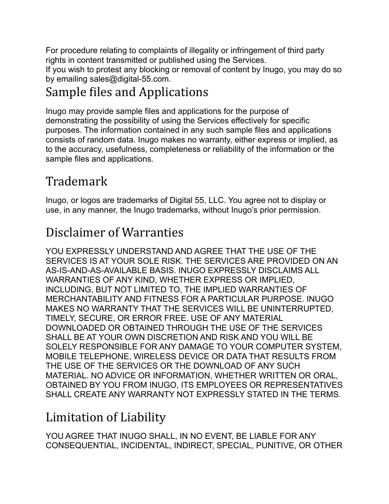For procedure relating to complaints of illegality or infringement of third party rights in content transmitted or published using the Services. If you wish to protest any blocking or removal of content by Inugo, you may do so by emailing sales@digital-55.com.

#### Sample files and Applications

Inugo may provide sample files and applications for the purpose of demonstrating the possibility of using the Services effectively for specific purposes. The information contained in any such sample files and applications consists of random data. Inugo makes no warranty, either express or implied, as to the accuracy, usefulness, completeness or reliability of the information or the sample files and applications.

## Trademark

Inugo, or logos are trademarks of Digital 55, LLC. You agree not to display or use, in any manner, the Inugo trademarks, without Inugo's prior permission.

## Disclaimer of Warranties

YOU EXPRESSLY UNDERSTAND AND AGREE THAT THE USE OF THE SERVICES IS AT YOUR SOLE RISK. THE SERVICES ARE PROVIDED ON AN AS-IS-AND-AS-AVAILABLE BASIS. INUGO EXPRESSLY DISCLAIMS ALL WARRANTIES OF ANY KIND, WHETHER EXPRESS OR IMPLIED, INCLUDING, BUT NOT LIMITED TO, THE IMPLIED WARRANTIES OF MERCHANTABILITY AND FITNESS FOR A PARTICULAR PURPOSE. INUGO MAKES NO WARRANTY THAT THE SERVICES WILL BE UNINTERRUPTED, TIMELY, SECURE, OR ERROR FREE. USE OF ANY MATERIAL DOWNLOADED OR OBTAINED THROUGH THE USE OF THE SERVICES SHALL BE AT YOUR OWN DISCRETION AND RISK AND YOU WILL BE SOLELY RESPONSIBLE FOR ANY DAMAGE TO YOUR COMPUTER SYSTEM, MOBILE TELEPHONE, WIRELESS DEVICE OR DATA THAT RESULTS FROM THE USE OF THE SERVICES OR THE DOWNLOAD OF ANY SUCH MATERIAL. NO ADVICE OR INFORMATION, WHETHER WRITTEN OR ORAL, OBTAINED BY YOU FROM INUGO, ITS EMPLOYEES OR REPRESENTATIVES SHALL CREATE ANY WARRANTY NOT EXPRESSLY STATED IN THE TERMS.

## Limitation of Liability

YOU AGREE THAT INUGO SHALL, IN NO EVENT, BE LIABLE FOR ANY CONSEQUENTIAL, INCIDENTAL, INDIRECT, SPECIAL, PUNITIVE, OR OTHER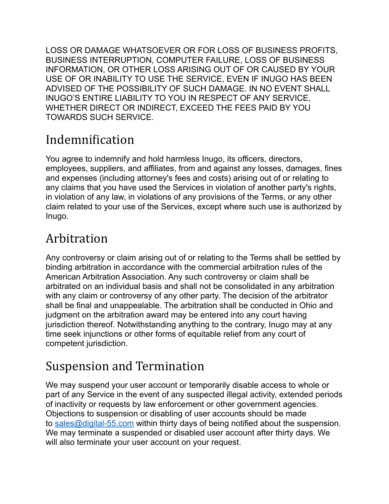LOSS OR DAMAGE WHATSOEVER OR FOR LOSS OF BUSINESS PROFITS, BUSINESS INTERRUPTION, COMPUTER FAILURE, LOSS OF BUSINESS INFORMATION, OR OTHER LOSS ARISING OUT OF OR CAUSED BY YOUR USE OF OR INABILITY TO USE THE SERVICE, EVEN IF INUGO HAS BEEN ADVISED OF THE POSSIBILITY OF SUCH DAMAGE. IN NO EVENT SHALL INUGO'S ENTIRE LIABILITY TO YOU IN RESPECT OF ANY SERVICE, WHETHER DIRECT OR INDIRECT, EXCEED THE FEES PAID BY YOU TOWARDS SUCH SERVICE.

#### Indemnification

You agree to indemnify and hold harmless Inugo, its officers, directors, employees, suppliers, and affiliates, from and against any losses, damages, fines and expenses (including attorney's fees and costs) arising out of or relating to any claims that you have used the Services in violation of another party's rights, in violation of any law, in violations of any provisions of the Terms, or any other claim related to your use of the Services, except where such use is authorized by Inugo.

#### Arbitration

Any controversy or claim arising out of or relating to the Terms shall be settled by binding arbitration in accordance with the commercial arbitration rules of the American Arbitration Association. Any such controversy or claim shall be arbitrated on an individual basis and shall not be consolidated in any arbitration with any claim or controversy of any other party. The decision of the arbitrator shall be final and unappealable. The arbitration shall be conducted in Ohio and judgment on the arbitration award may be entered into any court having jurisdiction thereof. Notwithstanding anything to the contrary, Inugo may at any time seek injunctions or other forms of equitable relief from any court of competent jurisdiction.

#### Suspension and Termination

We may suspend your user account or temporarily disable access to whole or part of any Service in the event of any suspected illegal activity, extended periods of inactivity or requests by law enforcement or other government agencies. Objections to suspension or disabling of user accounts should be made to [sales@digital-55.com](mailto:sales@digital-55.com) within thirty days of being notified about the suspension. We may terminate a suspended or disabled user account after thirty days. We will also terminate your user account on your request.